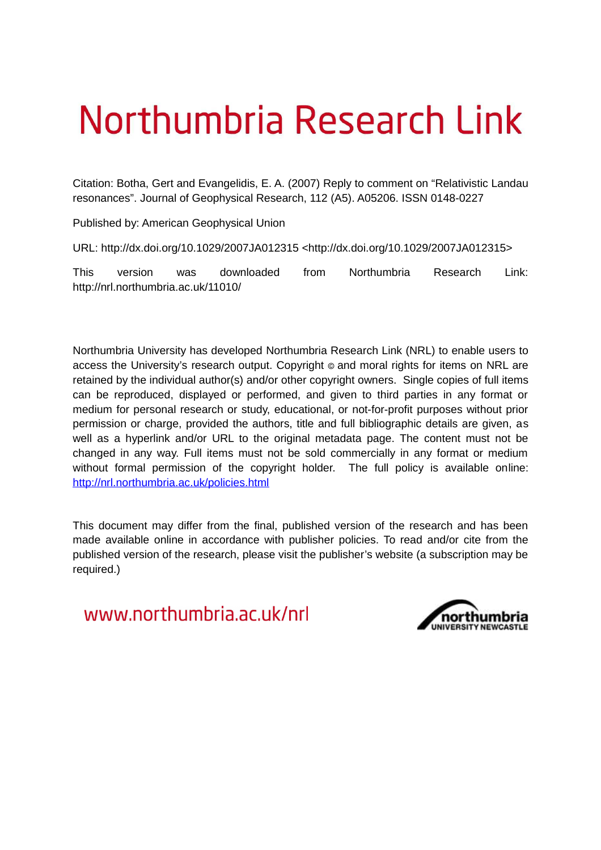## Northumbria Research Link

Citation: Botha, Gert and Evangelidis, E. A. (2007) Reply to comment on "Relativistic Landau resonances". Journal of Geophysical Research, 112 (A5). A05206. ISSN 0148-0227

Published by: American Geophysical Union

URL: http://dx.doi.org/10.1029/2007JA012315 <http://dx.doi.org/10.1029/2007JA012315>

This version was downloaded from Northumbria Research Link: http://nrl.northumbria.ac.uk/11010/

Northumbria University has developed Northumbria Research Link (NRL) to enable users to access the University's research output. Copyright © and moral rights for items on NRL are retained by the individual author(s) and/or other copyright owners. Single copies of full items can be reproduced, displayed or performed, and given to third parties in any format or medium for personal research or study, educational, or not-for-profit purposes without prior permission or charge, provided the authors, title and full bibliographic details are given, as well as a hyperlink and/or URL to the original metadata page. The content must not be changed in any way. Full items must not be sold commercially in any format or medium without formal permission of the copyright holder. The full policy is available online: <http://nrl.northumbria.ac.uk/policies.html>

This document may differ from the final, published version of the research and has been made available online in accordance with publisher policies. To read and/or cite from the published version of the research, please visit the publisher's website (a subscription may be required.)

www.northumbria.ac.uk/nrl